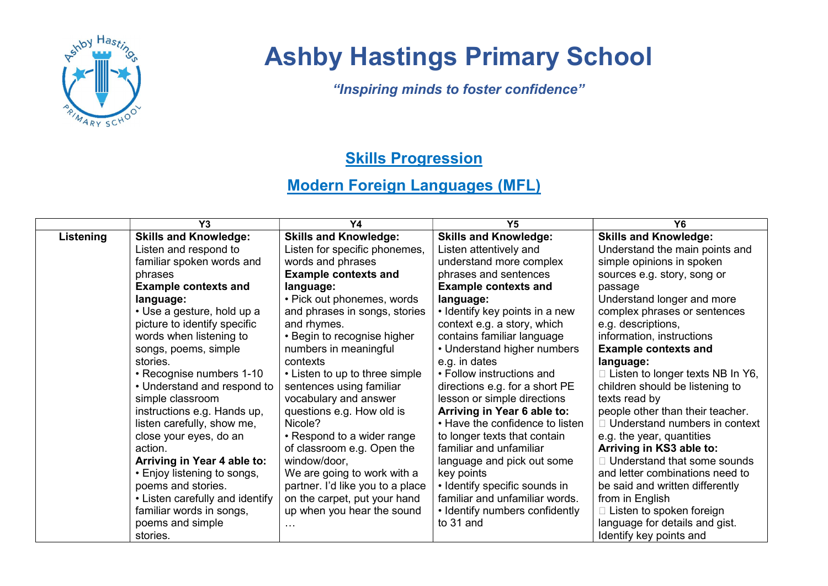

## Ashby Hastings Primary School

"Inspiring minds to foster confidence"

## **Skills Progression**

## Modern Foreign Languages (MFL)

|           | Y <sub>3</sub>                  | Y4                               | <b>Y5</b>                       | Y6                                   |
|-----------|---------------------------------|----------------------------------|---------------------------------|--------------------------------------|
| Listening | <b>Skills and Knowledge:</b>    | <b>Skills and Knowledge:</b>     | <b>Skills and Knowledge:</b>    | <b>Skills and Knowledge:</b>         |
|           | Listen and respond to           | Listen for specific phonemes,    | Listen attentively and          | Understand the main points and       |
|           | familiar spoken words and       | words and phrases                | understand more complex         | simple opinions in spoken            |
|           | phrases                         | <b>Example contexts and</b>      | phrases and sentences           | sources e.g. story, song or          |
|           | <b>Example contexts and</b>     | language:                        | <b>Example contexts and</b>     | passage                              |
|           | language:                       | • Pick out phonemes, words       | language:                       | Understand longer and more           |
|           | • Use a gesture, hold up a      | and phrases in songs, stories    | • Identify key points in a new  | complex phrases or sentences         |
|           | picture to identify specific    | and rhymes.                      | context e.g. a story, which     | e.g. descriptions,                   |
|           | words when listening to         | • Begin to recognise higher      | contains familiar language      | information, instructions            |
|           | songs, poems, simple            | numbers in meaningful            | • Understand higher numbers     | <b>Example contexts and</b>          |
|           | stories.                        | contexts                         | e.g. in dates                   | language:                            |
|           | • Recognise numbers 1-10        | • Listen to up to three simple   | • Follow instructions and       | Listen to longer texts NB In Y6,     |
|           | • Understand and respond to     | sentences using familiar         | directions e.g. for a short PE  | children should be listening to      |
|           | simple classroom                | vocabulary and answer            | lesson or simple directions     | texts read by                        |
|           | instructions e.g. Hands up,     | questions e.g. How old is        | Arriving in Year 6 able to:     | people other than their teacher.     |
|           | listen carefully, show me,      | Nicole?                          | • Have the confidence to listen | $\Box$ Understand numbers in context |
|           | close your eyes, do an          | • Respond to a wider range       | to longer texts that contain    | e.g. the year, quantities            |
|           | action.                         | of classroom e.g. Open the       | familiar and unfamiliar         | Arriving in KS3 able to:             |
|           | Arriving in Year 4 able to:     | window/door,                     | language and pick out some      | Understand that some sounds          |
|           | • Enjoy listening to songs,     | We are going to work with a      | key points                      | and letter combinations need to      |
|           | poems and stories.              | partner. I'd like you to a place | • Identify specific sounds in   | be said and written differently      |
|           | • Listen carefully and identify | on the carpet, put your hand     | familiar and unfamiliar words.  | from in English                      |
|           | familiar words in songs,        | up when you hear the sound       | • Identify numbers confidently  | Listen to spoken foreign             |
|           | poems and simple                |                                  | to 31 and                       | language for details and gist.       |
|           | stories.                        |                                  |                                 | Identify key points and              |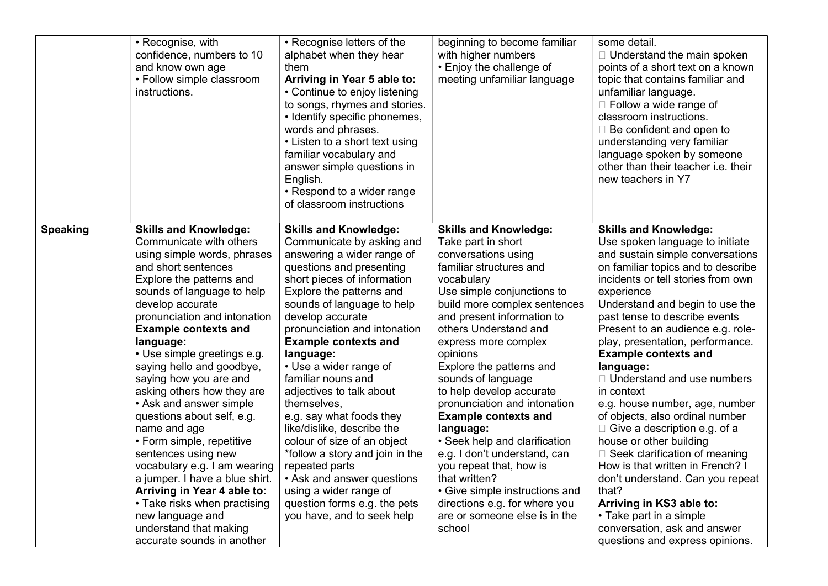|                 | • Recognise, with<br>confidence, numbers to 10<br>and know own age<br>• Follow simple classroom<br>instructions.                                                                                                                                                                                                                                                                                                                                                                                                                                                                                                                                                                                                                      | • Recognise letters of the<br>alphabet when they hear<br>them<br>Arriving in Year 5 able to:<br>• Continue to enjoy listening<br>to songs, rhymes and stories.<br>• Identify specific phonemes,<br>words and phrases.<br>• Listen to a short text using<br>familiar vocabulary and<br>answer simple questions in<br>English.<br>• Respond to a wider range<br>of classroom instructions                                                                                                                                                                                                                                                                                     | beginning to become familiar<br>with higher numbers<br>• Enjoy the challenge of<br>meeting unfamiliar language                                                                                                                                                                                                                                                                                                                                                                                                                                                                                                                                                   | some detail.<br>$\Box$ Understand the main spoken<br>points of a short text on a known<br>topic that contains familiar and<br>unfamiliar language.<br>$\Box$ Follow a wide range of<br>classroom instructions.<br>$\Box$ Be confident and open to<br>understanding very familiar<br>language spoken by someone<br>other than their teacher i.e. their<br>new teachers in Y7                                                                                                                                                                                                                                                                                                                                                                                                                                                    |
|-----------------|---------------------------------------------------------------------------------------------------------------------------------------------------------------------------------------------------------------------------------------------------------------------------------------------------------------------------------------------------------------------------------------------------------------------------------------------------------------------------------------------------------------------------------------------------------------------------------------------------------------------------------------------------------------------------------------------------------------------------------------|-----------------------------------------------------------------------------------------------------------------------------------------------------------------------------------------------------------------------------------------------------------------------------------------------------------------------------------------------------------------------------------------------------------------------------------------------------------------------------------------------------------------------------------------------------------------------------------------------------------------------------------------------------------------------------|------------------------------------------------------------------------------------------------------------------------------------------------------------------------------------------------------------------------------------------------------------------------------------------------------------------------------------------------------------------------------------------------------------------------------------------------------------------------------------------------------------------------------------------------------------------------------------------------------------------------------------------------------------------|--------------------------------------------------------------------------------------------------------------------------------------------------------------------------------------------------------------------------------------------------------------------------------------------------------------------------------------------------------------------------------------------------------------------------------------------------------------------------------------------------------------------------------------------------------------------------------------------------------------------------------------------------------------------------------------------------------------------------------------------------------------------------------------------------------------------------------|
| <b>Speaking</b> | <b>Skills and Knowledge:</b><br>Communicate with others<br>using simple words, phrases<br>and short sentences<br>Explore the patterns and<br>sounds of language to help<br>develop accurate<br>pronunciation and intonation<br><b>Example contexts and</b><br>language:<br>· Use simple greetings e.g.<br>saying hello and goodbye,<br>saying how you are and<br>asking others how they are<br>• Ask and answer simple<br>questions about self, e.g.<br>name and age<br>• Form simple, repetitive<br>sentences using new<br>vocabulary e.g. I am wearing<br>a jumper. I have a blue shirt.<br>Arriving in Year 4 able to:<br>• Take risks when practising<br>new language and<br>understand that making<br>accurate sounds in another | <b>Skills and Knowledge:</b><br>Communicate by asking and<br>answering a wider range of<br>questions and presenting<br>short pieces of information<br>Explore the patterns and<br>sounds of language to help<br>develop accurate<br>pronunciation and intonation<br><b>Example contexts and</b><br>language:<br>• Use a wider range of<br>familiar nouns and<br>adjectives to talk about<br>themselves,<br>e.g. say what foods they<br>like/dislike, describe the<br>colour of size of an object<br>*follow a story and join in the<br>repeated parts<br>• Ask and answer questions<br>using a wider range of<br>question forms e.g. the pets<br>you have, and to seek help | <b>Skills and Knowledge:</b><br>Take part in short<br>conversations using<br>familiar structures and<br>vocabulary<br>Use simple conjunctions to<br>build more complex sentences<br>and present information to<br>others Understand and<br>express more complex<br>opinions<br>Explore the patterns and<br>sounds of language<br>to help develop accurate<br>pronunciation and intonation<br><b>Example contexts and</b><br>language:<br>• Seek help and clarification<br>e.g. I don't understand, can<br>you repeat that, how is<br>that written?<br>• Give simple instructions and<br>directions e.g. for where you<br>are or someone else is in the<br>school | <b>Skills and Knowledge:</b><br>Use spoken language to initiate<br>and sustain simple conversations<br>on familiar topics and to describe<br>incidents or tell stories from own<br>experience<br>Understand and begin to use the<br>past tense to describe events<br>Present to an audience e.g. role-<br>play, presentation, performance.<br><b>Example contexts and</b><br>language:<br>□ Understand and use numbers<br>in context<br>e.g. house number, age, number<br>of objects, also ordinal number<br>$\Box$ Give a description e.g. of a<br>house or other building<br>$\Box$ Seek clarification of meaning<br>How is that written in French? I<br>don't understand. Can you repeat<br>that?<br>Arriving in KS3 able to:<br>• Take part in a simple<br>conversation, ask and answer<br>questions and express opinions. |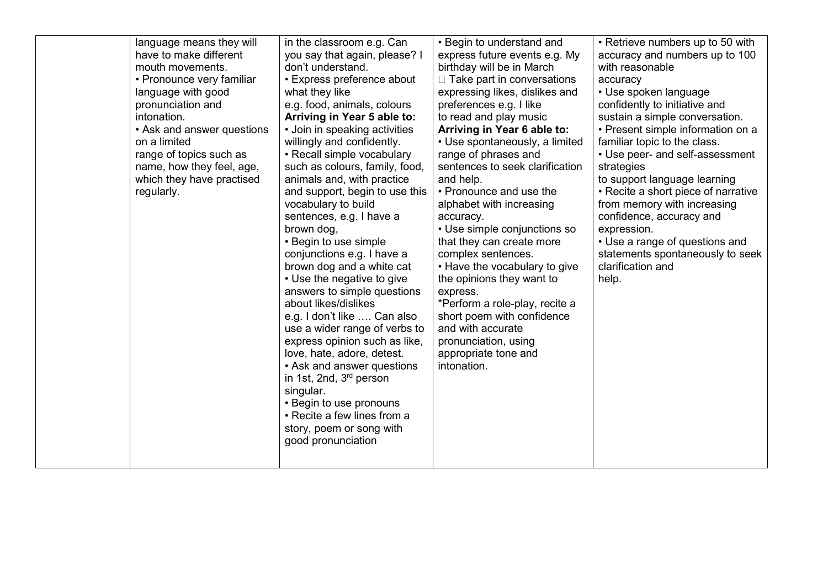| language means they will   | in the classroom e.g. Can                                | • Begin to understand and           | • Retrieve numbers up to 50 with    |
|----------------------------|----------------------------------------------------------|-------------------------------------|-------------------------------------|
| have to make different     | you say that again, please? I                            | express future events e.g. My       | accuracy and numbers up to 100      |
| mouth movements.           | don't understand.                                        | birthday will be in March           | with reasonable                     |
| • Pronounce very familiar  | • Express preference about                               | $\Box$ Take part in conversations   | accuracy                            |
| language with good         | what they like                                           | expressing likes, dislikes and      | • Use spoken language               |
| pronunciation and          | e.g. food, animals, colours                              | preferences e.g. I like             | confidently to initiative and       |
| intonation.                | Arriving in Year 5 able to:                              | to read and play music              | sustain a simple conversation.      |
| • Ask and answer questions | • Join in speaking activities                            | Arriving in Year 6 able to:         | • Present simple information on a   |
| on a limited               | willingly and confidently.                               | • Use spontaneously, a limited      | familiar topic to the class.        |
| range of topics such as    | • Recall simple vocabulary                               | range of phrases and                | • Use peer- and self-assessment     |
| name, how they feel, age,  | such as colours, family, food,                           | sentences to seek clarification     | strategies                          |
| which they have practised  | animals and, with practice                               | and help.                           | to support language learning        |
| regularly.                 | and support, begin to use this                           | • Pronounce and use the             | • Recite a short piece of narrative |
|                            | vocabulary to build                                      | alphabet with increasing            | from memory with increasing         |
|                            | sentences, e.g. I have a                                 | accuracy.                           | confidence, accuracy and            |
|                            | brown dog,                                               | • Use simple conjunctions so        | expression.                         |
|                            | • Begin to use simple                                    | that they can create more           | • Use a range of questions and      |
|                            | conjunctions e.g. I have a                               | complex sentences.                  | statements spontaneously to seek    |
|                            | brown dog and a white cat                                | • Have the vocabulary to give       | clarification and                   |
|                            | • Use the negative to give                               | the opinions they want to           | help.                               |
|                            | answers to simple questions                              | express.                            |                                     |
|                            | about likes/dislikes                                     | *Perform a role-play, recite a      |                                     |
|                            | e.g. I don't like  Can also                              | short poem with confidence          |                                     |
|                            | use a wider range of verbs to                            | and with accurate                   |                                     |
|                            | express opinion such as like,                            | pronunciation, using                |                                     |
|                            | love, hate, adore, detest.<br>• Ask and answer questions | appropriate tone and<br>intonation. |                                     |
|                            | in 1st, 2nd, $3rd$ person                                |                                     |                                     |
|                            | singular.                                                |                                     |                                     |
|                            | • Begin to use pronouns                                  |                                     |                                     |
|                            | • Recite a few lines from a                              |                                     |                                     |
|                            | story, poem or song with                                 |                                     |                                     |
|                            | good pronunciation                                       |                                     |                                     |
|                            |                                                          |                                     |                                     |
|                            |                                                          |                                     |                                     |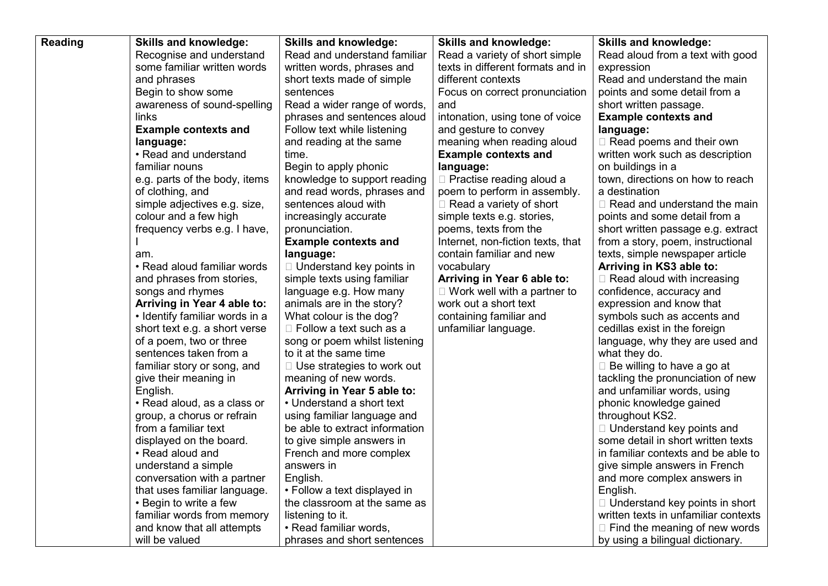| Reading | <b>Skills and knowledge:</b>   | <b>Skills and knowledge:</b>      | <b>Skills and knowledge:</b>       | <b>Skills and knowledge:</b>          |
|---------|--------------------------------|-----------------------------------|------------------------------------|---------------------------------------|
|         | Recognise and understand       | Read and understand familiar      | Read a variety of short simple     | Read aloud from a text with good      |
|         | some familiar written words    | written words, phrases and        | texts in different formats and in  | expression                            |
|         | and phrases                    | short texts made of simple        | different contexts                 | Read and understand the main          |
|         | Begin to show some             | sentences                         | Focus on correct pronunciation     | points and some detail from a         |
|         | awareness of sound-spelling    | Read a wider range of words,      | and                                | short written passage.                |
|         | links                          | phrases and sentences aloud       | intonation, using tone of voice    | <b>Example contexts and</b>           |
|         | <b>Example contexts and</b>    | Follow text while listening       | and gesture to convey              | language:                             |
|         | language:                      | and reading at the same           | meaning when reading aloud         | $\Box$ Read poems and their own       |
|         | • Read and understand          | time.                             | <b>Example contexts and</b>        | written work such as description      |
|         | familiar nouns                 | Begin to apply phonic             | language:                          | on buildings in a                     |
|         | e.g. parts of the body, items  | knowledge to support reading      | $\Box$ Practise reading aloud a    | town, directions on how to reach      |
|         | of clothing, and               | and read words, phrases and       | poem to perform in assembly.       | a destination                         |
|         | simple adjectives e.g. size,   | sentences aloud with              | $\Box$ Read a variety of short     | $\Box$ Read and understand the main   |
|         | colour and a few high          | increasingly accurate             | simple texts e.g. stories,         | points and some detail from a         |
|         | frequency verbs e.g. I have,   | pronunciation.                    | poems, texts from the              | short written passage e.g. extract    |
|         |                                | <b>Example contexts and</b>       | Internet, non-fiction texts, that  | from a story, poem, instructional     |
|         | am.                            | language:                         | contain familiar and new           | texts, simple newspaper article       |
|         | • Read aloud familiar words    | □ Understand key points in        | vocabulary                         | Arriving in KS3 able to:              |
|         | and phrases from stories,      | simple texts using familiar       | Arriving in Year 6 able to:        | $\Box$ Read aloud with increasing     |
|         | songs and rhymes               | language e.g. How many            | $\Box$ Work well with a partner to | confidence, accuracy and              |
|         | Arriving in Year 4 able to:    | animals are in the story?         | work out a short text              | expression and know that              |
|         | • Identify familiar words in a | What colour is the dog?           | containing familiar and            | symbols such as accents and           |
|         | short text e.g. a short verse  | $\Box$ Follow a text such as a    | unfamiliar language.               | cedillas exist in the foreign         |
|         | of a poem, two or three        | song or poem whilst listening     |                                    | language, why they are used and       |
|         | sentences taken from a         | to it at the same time            |                                    | what they do.                         |
|         | familiar story or song, and    | $\Box$ Use strategies to work out |                                    | $\Box$ Be willing to have a go at     |
|         | give their meaning in          | meaning of new words.             |                                    | tackling the pronunciation of new     |
|         | English.                       | Arriving in Year 5 able to:       |                                    | and unfamiliar words, using           |
|         | • Read aloud, as a class or    | • Understand a short text         |                                    | phonic knowledge gained               |
|         | group, a chorus or refrain     | using familiar language and       |                                    | throughout KS2.                       |
|         | from a familiar text           | be able to extract information    |                                    | □ Understand key points and           |
|         | displayed on the board.        | to give simple answers in         |                                    | some detail in short written texts    |
|         | • Read aloud and               | French and more complex           |                                    | in familiar contexts and be able to   |
|         | understand a simple            | answers in                        |                                    | give simple answers in French         |
|         | conversation with a partner    | English.                          |                                    | and more complex answers in           |
|         | that uses familiar language.   | • Follow a text displayed in      |                                    | English.                              |
|         | • Begin to write a few         | the classroom at the same as      |                                    | $\Box$ Understand key points in short |
|         | familiar words from memory     | listening to it.                  |                                    | written texts in unfamiliar contexts  |
|         | and know that all attempts     | • Read familiar words,            |                                    | $\Box$ Find the meaning of new words  |
|         | will be valued                 | phrases and short sentences       |                                    | by using a bilingual dictionary.      |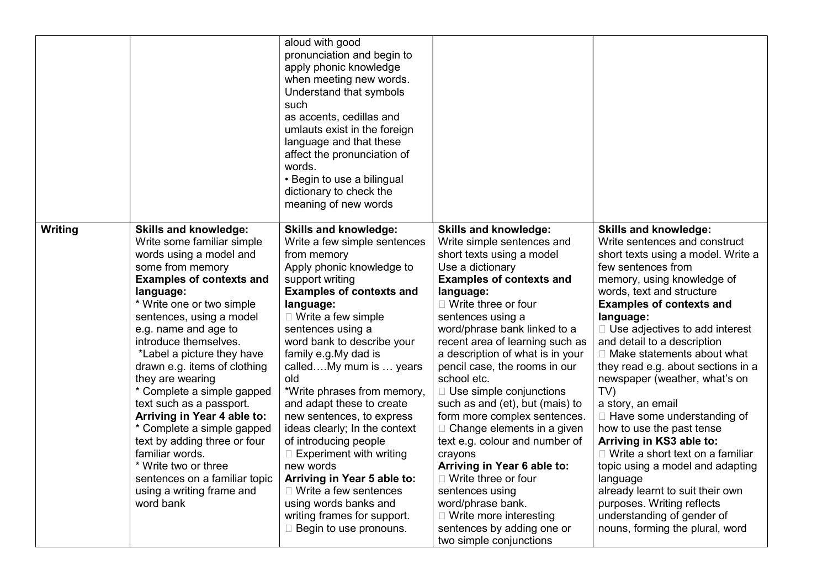|         |                                                                                                                                                                                                                                                                                                                                                                                                                                                                                                                                                                                                                                    | aloud with good<br>pronunciation and begin to<br>apply phonic knowledge<br>when meeting new words.<br>Understand that symbols<br>such<br>as accents, cedillas and<br>umlauts exist in the foreign<br>language and that these<br>affect the pronunciation of<br>words.<br>• Begin to use a bilingual<br>dictionary to check the<br>meaning of new words                                                                                                                                                                                                                                                                                                                          |                                                                                                                                                                                                                                                                                                                                                                                                                                                                                                                                                                                                                                                                                                                                                   |                                                                                                                                                                                                                                                                                                                                                                                                                                                                                                                                                                                                                                                                                                                                                                            |
|---------|------------------------------------------------------------------------------------------------------------------------------------------------------------------------------------------------------------------------------------------------------------------------------------------------------------------------------------------------------------------------------------------------------------------------------------------------------------------------------------------------------------------------------------------------------------------------------------------------------------------------------------|---------------------------------------------------------------------------------------------------------------------------------------------------------------------------------------------------------------------------------------------------------------------------------------------------------------------------------------------------------------------------------------------------------------------------------------------------------------------------------------------------------------------------------------------------------------------------------------------------------------------------------------------------------------------------------|---------------------------------------------------------------------------------------------------------------------------------------------------------------------------------------------------------------------------------------------------------------------------------------------------------------------------------------------------------------------------------------------------------------------------------------------------------------------------------------------------------------------------------------------------------------------------------------------------------------------------------------------------------------------------------------------------------------------------------------------------|----------------------------------------------------------------------------------------------------------------------------------------------------------------------------------------------------------------------------------------------------------------------------------------------------------------------------------------------------------------------------------------------------------------------------------------------------------------------------------------------------------------------------------------------------------------------------------------------------------------------------------------------------------------------------------------------------------------------------------------------------------------------------|
| Writing | <b>Skills and knowledge:</b><br>Write some familiar simple<br>words using a model and<br>some from memory<br><b>Examples of contexts and</b><br>language:<br>* Write one or two simple<br>sentences, using a model<br>e.g. name and age to<br>introduce themselves.<br>*Label a picture they have<br>drawn e.g. items of clothing<br>they are wearing<br>* Complete a simple gapped<br>text such as a passport.<br>Arriving in Year 4 able to:<br>* Complete a simple gapped<br>text by adding three or four<br>familiar words.<br>* Write two or three<br>sentences on a familiar topic<br>using a writing frame and<br>word bank | <b>Skills and knowledge:</b><br>Write a few simple sentences<br>from memory<br>Apply phonic knowledge to<br>support writing<br><b>Examples of contexts and</b><br>language:<br>$\Box$ Write a few simple<br>sentences using a<br>word bank to describe your<br>family e.g. My dad is<br>calledMy mum is  years<br>old<br>*Write phrases from memory,<br>and adapt these to create<br>new sentences, to express<br>ideas clearly; In the context<br>of introducing people<br>$\Box$ Experiment with writing<br>new words<br>Arriving in Year 5 able to:<br>$\Box$ Write a few sentences<br>using words banks and<br>writing frames for support.<br>$\Box$ Begin to use pronouns. | <b>Skills and knowledge:</b><br>Write simple sentences and<br>short texts using a model<br>Use a dictionary<br><b>Examples of contexts and</b><br>language:<br>$\Box$ Write three or four<br>sentences using a<br>word/phrase bank linked to a<br>recent area of learning such as<br>a description of what is in your<br>pencil case, the rooms in our<br>school etc.<br>□ Use simple conjunctions<br>such as and (et), but (mais) to<br>form more complex sentences.<br>$\Box$ Change elements in a given<br>text e.g. colour and number of<br>crayons<br>Arriving in Year 6 able to:<br>□ Write three or four<br>sentences using<br>word/phrase bank.<br>$\Box$ Write more interesting<br>sentences by adding one or<br>two simple conjunctions | <b>Skills and knowledge:</b><br>Write sentences and construct<br>short texts using a model. Write a<br>few sentences from<br>memory, using knowledge of<br>words, text and structure<br><b>Examples of contexts and</b><br>language:<br>$\Box$ Use adjectives to add interest<br>and detail to a description<br>$\Box$ Make statements about what<br>they read e.g. about sections in a<br>newspaper (weather, what's on<br>TV<br>a story, an email<br>□ Have some understanding of<br>how to use the past tense<br>Arriving in KS3 able to:<br>$\Box$ Write a short text on a familiar<br>topic using a model and adapting<br>language<br>already learnt to suit their own<br>purposes. Writing reflects<br>understanding of gender of<br>nouns, forming the plural, word |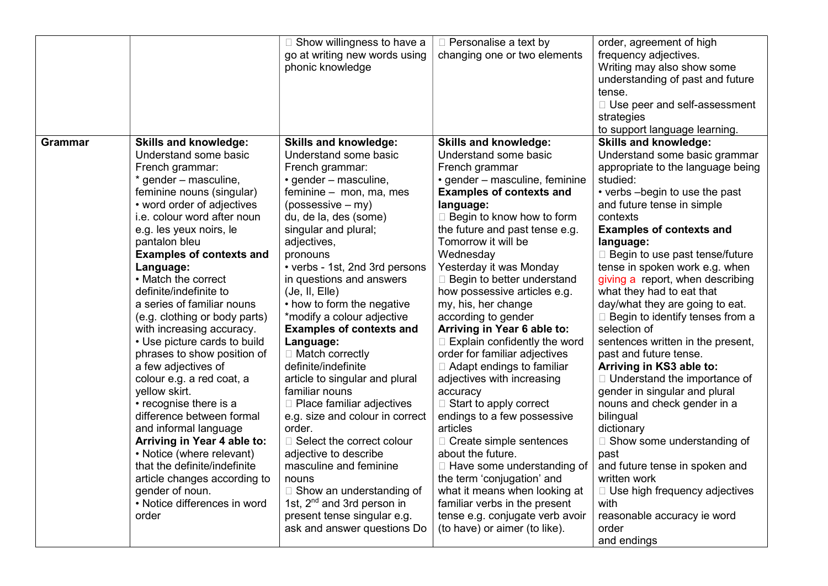|                |                                 | □ Show willingness to have a           | □ Personalise a text by             | order, agreement of high               |
|----------------|---------------------------------|----------------------------------------|-------------------------------------|----------------------------------------|
|                |                                 | go at writing new words using          | changing one or two elements        | frequency adjectives.                  |
|                |                                 | phonic knowledge                       |                                     | Writing may also show some             |
|                |                                 |                                        |                                     | understanding of past and future       |
|                |                                 |                                        |                                     | tense.                                 |
|                |                                 |                                        |                                     | □ Use peer and self-assessment         |
|                |                                 |                                        |                                     | strategies                             |
|                |                                 |                                        |                                     | to support language learning.          |
| <b>Grammar</b> | <b>Skills and knowledge:</b>    | <b>Skills and knowledge:</b>           | <b>Skills and knowledge:</b>        | <b>Skills and knowledge:</b>           |
|                | Understand some basic           | Understand some basic                  | Understand some basic               | Understand some basic grammar          |
|                | French grammar:                 | French grammar:                        | French grammar                      | appropriate to the language being      |
|                | * gender – masculine,           | • gender – masculine,                  | • gender – masculine, feminine      | studied:                               |
|                | feminine nouns (singular)       | feminine - mon, ma, mes                | <b>Examples of contexts and</b>     | • verbs -begin to use the past         |
|                | • word order of adjectives      | $(possessive - my)$                    | language:                           | and future tense in simple             |
|                | i.e. colour word after noun     | du, de la, des (some)                  | □ Begin to know how to form         | contexts                               |
|                | e.g. les yeux noirs, le         | singular and plural;                   | the future and past tense e.g.      | <b>Examples of contexts and</b>        |
|                | pantalon bleu                   | adjectives,                            | Tomorrow it will be                 | language:                              |
|                | <b>Examples of contexts and</b> | pronouns                               | Wednesday                           | □ Begin to use past tense/future       |
|                | Language:                       | • verbs - 1st, 2nd 3rd persons         | Yesterday it was Monday             | tense in spoken work e.g. when         |
|                | • Match the correct             | in questions and answers               | $\Box$ Begin to better understand   | giving a report, when describing       |
|                | definite/indefinite to          | (Je, II, Elle)                         | how possessive articles e.g.        | what they had to eat that              |
|                | a series of familiar nouns      | • how to form the negative             | my, his, her change                 | day/what they are going to eat.        |
|                | (e.g. clothing or body parts)   | *modify a colour adjective             | according to gender                 | $\Box$ Begin to identify tenses from a |
|                | with increasing accuracy.       | <b>Examples of contexts and</b>        | Arriving in Year 6 able to:         | selection of                           |
|                | • Use picture cards to build    | Language:                              | $\Box$ Explain confidently the word | sentences written in the present,      |
|                | phrases to show position of     | $\Box$ Match correctly                 | order for familiar adjectives       | past and future tense.                 |
|                | a few adjectives of             | definite/indefinite                    | □ Adapt endings to familiar         | Arriving in KS3 able to:               |
|                | colour e.g. a red coat, a       | article to singular and plural         | adjectives with increasing          | □ Understand the importance of         |
|                | yellow skirt.                   | familiar nouns                         | accuracy                            | gender in singular and plural          |
|                | • recognise there is a          | $\Box$ Place familiar adjectives       | $\Box$ Start to apply correct       | nouns and check gender in a            |
|                | difference between formal       | e.g. size and colour in correct        | endings to a few possessive         | bilingual                              |
|                | and informal language           | order.                                 | articles                            | dictionary                             |
|                | Arriving in Year 4 able to:     | □ Select the correct colour            | □ Create simple sentences           | □ Show some understanding of           |
|                | • Notice (where relevant)       | adjective to describe                  | about the future.                   | past                                   |
|                | that the definite/indefinite    | masculine and feminine                 | □ Have some understanding of        | and future tense in spoken and         |
|                | article changes according to    | nouns                                  | the term 'conjugation' and          | written work                           |
|                | gender of noun.                 | □ Show an understanding of             | what it means when looking at       | □ Use high frequency adjectives        |
|                | • Notice differences in word    | 1st, 2 <sup>nd</sup> and 3rd person in | familiar verbs in the present       | with                                   |
|                | order                           | present tense singular e.g.            | tense e.g. conjugate verb avoir     | reasonable accuracy ie word            |
|                |                                 | ask and answer questions Do            | (to have) or aimer (to like).       | order                                  |
|                |                                 |                                        |                                     | and endings                            |
|                |                                 |                                        |                                     |                                        |